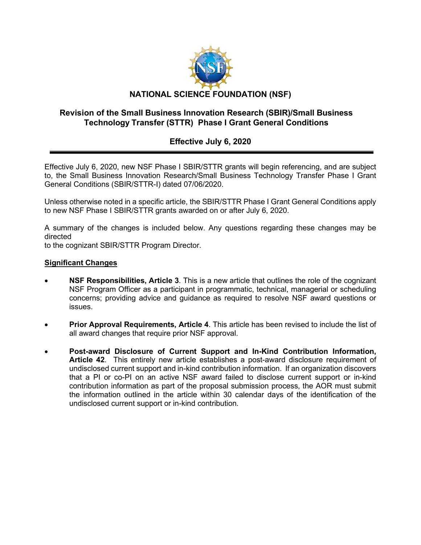

## **Revision of the Small Business Innovation Research (SBIR)/Small Business Technology Transfer (STTR) Phase I Grant General Conditions**

## **Effective July 6, 2020**

Effective July 6, 2020, new NSF Phase I SBIR/STTR grants will begin referencing, and are subject to, the Small Business Innovation Research/Small Business Technology Transfer Phase I Grant General Conditions (SBIR/STTR-I) dated 07/06/2020.

Unless otherwise noted in a specific article, the SBIR/STTR Phase I Grant General Conditions apply to new NSF Phase I SBIR/STTR grants awarded on or after July 6, 2020.

A summary of the changes is included below. Any questions regarding these changes may be directed

to the cognizant SBIR/STTR Program Director.

## **Significant Changes**

- **NSF Responsibilities, Article 3**. This is a new article that outlines the role of the cognizant NSF Program Officer as a participant in programmatic, technical, managerial or scheduling concerns; providing advice and guidance as required to resolve NSF award questions or issues.
- **Prior Approval Requirements, Article 4**. This article has been revised to include the list of all award changes that require prior NSF approval.
- **Post-award Disclosure of Current Support and In-Kind Contribution Information, Article 42**. This entirely new article establishes a post-award disclosure requirement of undisclosed current support and in-kind contribution information. If an organization discovers that a PI or co-PI on an active NSF award failed to disclose current support or in-kind contribution information as part of the proposal submission process, the AOR must submit the information outlined in the article within 30 calendar days of the identification of the undisclosed current support or in-kind contribution.